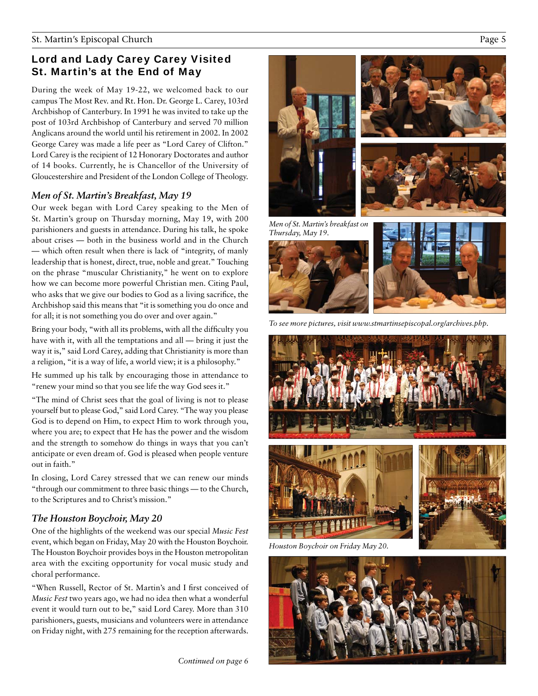# Lord and Lady Carey Carey Visited St. Martin's at the End of May

During the week of May 19-22, we welcomed back to our campus The Most Rev. and Rt. Hon. Dr. George L. Carey, 103rd Archbishop of Canterbury. In 1991 he was invited to take up the post of 103rd Archbishop of Canterbury and served 70 million Anglicans around the world until his retirement in 2002. In 2002 George Carey was made a life peer as "Lord Carey of Clifton." Lord Carey is the recipient of 12 Honorary Doctorates and author of 14 books. Currently, he is Chancellor of the University of Gloucestershire and President of the London College of Theology.

# *Men of St. Martin's Breakfast, May 19*

Our week began with Lord Carey speaking to the Men of St. Martin's group on Thursday morning, May 19, with 200 parishioners and guests in attendance. During his talk, he spoke about crises — both in the business world and in the Church — which often result when there is lack of "integrity, of manly leadership that is honest, direct, true, noble and great." Touching on the phrase "muscular Christianity," he went on to explore how we can become more powerful Christian men. Citing Paul, who asks that we give our bodies to God as a living sacrifice, the Archbishop said this means that "it is something you do once and for all; it is not something you do over and over again."

Bring your body, "with all its problems, with all the difficulty you have with it, with all the temptations and all — bring it just the way it is," said Lord Carey, adding that Christianity is more than a religion, "it is a way of life, a world view; it is a philosophy."

He summed up his talk by encouraging those in attendance to "renew your mind so that you see life the way God sees it."

"The mind of Christ sees that the goal of living is not to please yourself but to please God," said Lord Carey. "The way you please God is to depend on Him, to expect Him to work through you, where you are; to expect that He has the power and the wisdom and the strength to somehow do things in ways that you can't anticipate or even dream of. God is pleased when people venture out in faith."

In closing, Lord Carey stressed that we can renew our minds "through our commitment to three basic things — to the Church, to the Scriptures and to Christ's mission."

## *The Houston Boychoir, May 20*

One of the highlights of the weekend was our special *Music Fest*  event, which began on Friday, May 20 with the Houston Boychoir. The Houston Boychoir provides boys in the Houston metropolitan area with the exciting opportunity for vocal music study and choral performance.

"When Russell, Rector of St. Martin's and I first conceived of *Music Fest* two years ago, we had no idea then what a wonderful event it would turn out to be," said Lord Carey. More than 310 parishioners, guests, musicians and volunteers were in attendance on Friday night, with 275 remaining for the reception afterwards.

*Continued on page 6*









*To see more pictures, visit www.stmartinsepiscopal.org/archives.php.*







*Houston Boychoir on Friday May 20.*

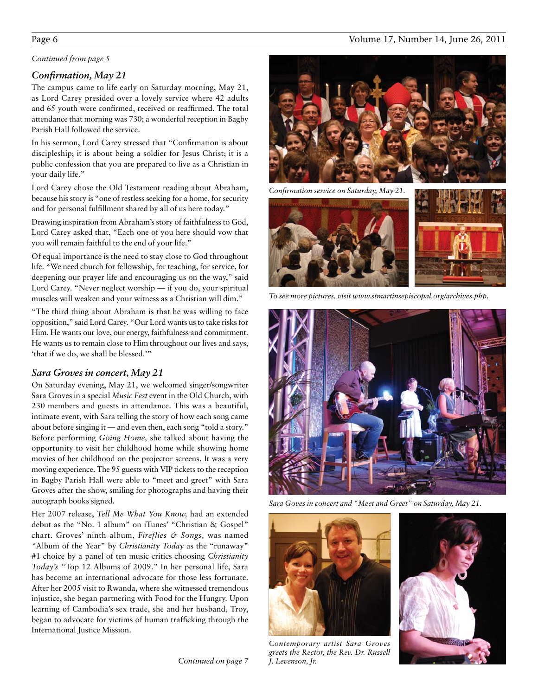# Continued from page 5<br>**Confirmation, May 21**

The campus came to life early on Saturday morning, May 21, as Lord Carey presided over a lovely service where 42 adults and 65 youth were confirmed, received or reaffirmed. The total attendance that morning was 730; a wonderful reception in Bagby Parish Hall followed the service.

In his sermon, Lord Carey stressed that "Confirmation is about discipleship; it is about being a soldier for Jesus Christ; it is a public confession that you are prepared to live as a Christian in your daily life."

Lord Carey chose the Old Testament reading about Abraham, because his story is "one of restless seeking for a home, for security and for personal fulfillment shared by all of us here today."

Drawing inspiration from Abraham's story of faithfulness to God, Lord Carey asked that, "Each one of you here should vow that you will remain faithful to the end of your life."

Of equal importance is the need to stay close to God throughout life. "We need church for fellowship, for teaching, for service, for deepening our prayer life and encouraging us on the way," said Lord Carey. "Never neglect worship — if you do, your spiritual muscles will weaken and your witness as a Christian will dim."

"The third thing about Abraham is that he was willing to face opposition," said Lord Carey. "Our Lord wants us to take risks for Him. He wants our love, our energy, faithfulness and commitment. He wants us to remain close to Him throughout our lives and says, 'that if we do, we shall be blessed.'"

### *Sara Groves in concert, May 21*

On Saturday evening, May 21, we welcomed singer/songwriter Sara Groves in a special *Music Fest* event in the Old Church, with 230 members and guests in attendance. This was a beautiful, intimate event, with Sara telling the story of how each song came about before singing it — and even then, each song "told a story." Before performing *Going Home,* she talked about having the opportunity to visit her childhood home while showing home movies of her childhood on the projector screens. It was a very moving experience. The 95 guests with VIP tickets to the reception in Bagby Parish Hall were able to "meet and greet" with Sara Groves after the show, smiling for photographs and having their autograph books signed.

Her 2007 release, *Tell Me What You Know,* had an extended debut as the "No. 1 album" on iTunes' "Christian & Gospel" chart. Groves' ninth album, *Fireflies & Songs,* was named *"*Album of the Year" by *Christianity Today* as the "runaway" #1 choice by a panel of ten music critics choosing *Christianity Today's "*Top 12 Albums of 2009." In her personal life, Sara has become an international advocate for those less fortunate. After her 2005 visit to Rwanda, where she witnessed tremendous injustice, she began partnering with Food for the Hungry. Upon learning of Cambodia's sex trade, she and her husband, Troy, began to advocate for victims of human trafficking through the International Justice Mission.

*Continued on page 7*

*Confirmation service on Saturday, May 21.* 



*To see more pictures, visit www.stmartinsepiscopal.org/archives.php.*



*Sara Goves in concert and "Meet and Greet" on Saturday, May 21.*



*Contemporary artist Sara Groves*  greets the Rector, the Rev. Dr. Russell *J. Levenson, Jr.*



### Page 6 Volume 17, Number 14, June 26, 2011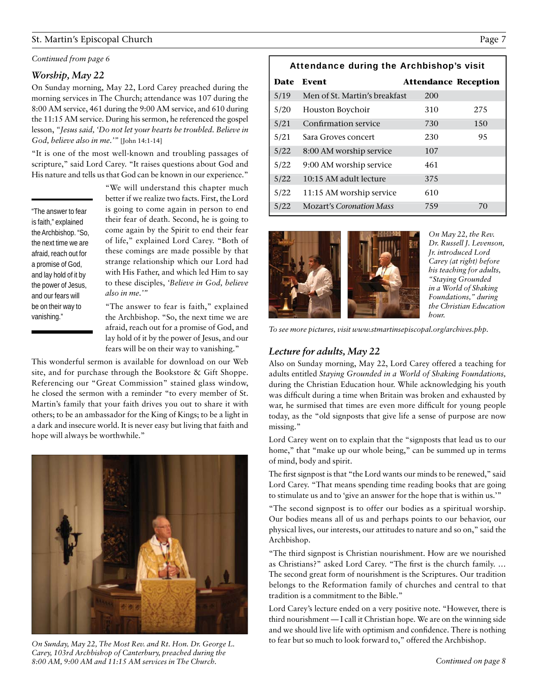### St. Martin's Episcopal Church Page 7

# Continued from page 6<br>**Worship, May 22**

On Sunday morning, May 22, Lord Carey preached during the morning services in The Church; attendance was 107 during the 8:00 AM service, 461 during the 9:00 AM service, and 610 during the 11:15 AM service. During his sermon, he referenced the gospel lesson, *"Jesus said, 'Do not let your hearts be troubled. Believe in God, believe also in me.'"* [John 14:1-14]

"It is one of the most well-known and troubling passages of scripture," said Lord Carey. "It raises questions about God and His nature and tells us that God can be known in our experience."

"The answer to fear is faith," explained the Archbishop. "So, the next time we are afraid, reach out for a promise of God, and lay hold of it by the power of Jesus, and our fears will be on their way to vanishing."

"We will understand this chapter much better if we realize two facts. First, the Lord is going to come again in person to end their fear of death. Second, he is going to come again by the Spirit to end their fear of life," explained Lord Carey. "Both of these comings are made possible by that strange relationship which our Lord had with His Father, and which led Him to say to these disciples, *'Believe in God, believe also in me.'"*

"The answer to fear is faith," explained the Archbishop. "So, the next time we are afraid, reach out for a promise of God, and lay hold of it by the power of Jesus, and our fears will be on their way to vanishing."

This wonderful sermon is available for download on our Web site, and for purchase through the Bookstore & Gift Shoppe. Referencing our "Great Commission" stained glass window, he closed the sermon with a reminder "to every member of St. Martin's family that your faith drives you out to share it with others; to be an ambassador for the King of Kings; to be a light in a dark and insecure world. It is never easy but living that faith and hope will always be worthwhile."



*On Sunday, May 22, The Most Rev. and Rt. Hon. Dr. George L. Carey, 103rd Archbishop of Canterbury, preached during the 8:00 AM, 9:00 AM and 11:15 AM services in The Church.* 

| Attendance during the Archbishop's visit |                                 |                             |      |
|------------------------------------------|---------------------------------|-----------------------------|------|
| Date                                     | Event                           | <b>Attendance Reception</b> |      |
| 5/19                                     | Men of St. Martin's breakfast   | 200                         |      |
| 5/20                                     | Houston Boychoir                | 310                         | 2.75 |
| 5/21                                     | Confirmation service            | 730                         | 150  |
| 5/21                                     | Sara Groves concert             | 230                         | 95   |
| 5/22                                     | 8:00 AM worship service         | 107                         |      |
| 5/22                                     | 9:00 AM worship service         | 461                         |      |
| 5/22                                     | 10:15 AM adult lecture          | 375                         |      |
| 5/22                                     | 11:15 AM worship service        | 610                         |      |
| 5/22                                     | <b>Mozart's Coronation Mass</b> | 759                         | 70   |



*On May 22, the Rev. Dr. Russell J. Levenson, Jr. introduced Lord Carey (at right) before his teaching for adults, "Staying Grounded in a World of Shaking Foundations," during the Christian Education hour.*

*Lecture adults May To see more pictures, visit www.stmartinsepiscopal.org/archives.php.*

### *Lecture for adults, May 22*

Also on Sunday morning, May 22, Lord Carey offered a teaching for adults entitled *Staying Grounded in a World of Shaking Foundations,*  during the Christian Education hour. While acknowledging his youth was difficult during a time when Britain was broken and exhausted by war, he surmised that times are even more difficult for young people today, as the "old signposts that give life a sense of purpose are now missing."

Lord Carey went on to explain that the "signposts that lead us to our home," that "make up our whole being," can be summed up in terms of mind, body and spirit.

The first signpost is that "the Lord wants our minds to be renewed," said Lord Carey. "That means spending time reading books that are going to stimulate us and to 'give an answer for the hope that is within us.'"

"The second signpost is to offer our bodies as a spiritual worship. Our bodies means all of us and perhaps points to our behavior, our physical lives, our interests, our attitudes to nature and so on," said the Archbishop.

"The third signpost is Christian nourishment. How are we nourished as Christians?" asked Lord Carey. "The first is the church family. ... The second great form of nourishment is the Scriptures. Our tradition belongs to the Reformation family of churches and central to that tradition is a commitment to the Bible."

Lord Carey's lecture ended on a very positive note. "However, there is third nourishment — I call it Christian hope. We are on the winning side and we should live life with optimism and confidence. There is nothing to fear but so much to look forward to," offered the Archbishop.